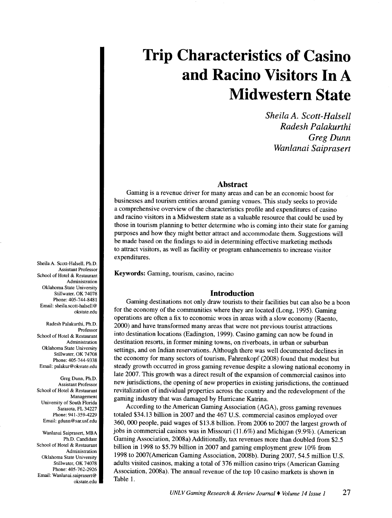*Sheila A. Scott-Halsell Radesh Palakurthi Greg Dunn Wanlanai Saiprasert* 

#### **Abstract**

Gaming is a revenue driver for many areas and can be an economic boost for businesses and tourism entities around gaming venues. This study seeks to provide a comprehensive overview of the characteristics profile and expenditures of casino and racino visitors in a Midwestern state as a valuable resource that could be used by those in tourism planning to better determine who is coming into their state for gaming purposes and how they might better attract and accommodate them. Suggestions will be made based on the findings to aid in determining effective marketing methods to attract visitors, as well as facility or program enhancements to increase visitor expenditures.

Keywords: Gaming, tourism, casino, racino

#### **Introduction**

Gaming destinations not only draw tourists to their facilities but can also be a boon for the economy of the communities where they are located (Long, 1995). Gaming operations are often a fix to economic woes in areas with a slow economy (Raento, 2000) and have transformed many areas that were not previous tourist attractions into destination locations (Eadington, 1999). Casino gaming can now be found in destination resorts, in former mining towns, on riverboats, in urban or suburban settings, and on Indian reservations. Although there was well documented declines in the economy for many sectors of tourism, Fahrenkopf (2008) found that modest but steady growth occurred in gross gaming revenue despite a slowing national economy in late 2007. This growth was a direct result of the expansion of commercial casinos into new jurisdictions, the opening of new properties in existing jurisdictions, the continued revitalization of individual properties across the country and the redevelopment of the gaming industry that was damaged by Hurricane Katrina.

According to the American Gaming Association (AGA), gross gaming revenues totaled \$34.13 billion in 2007 and the 467 U.S. commercial casinos employed over 360, 000 people, paid wages of \$13.8 billion. From 2006 to 2007 the largest growth of jobs in commercial casinos was in Missouri (11.6%) and Michigan (9.9%). (American Gaming Association, 2008a) Additionally, tax revenues more than doubled from \$2.5 billion in 1998 to \$5.79 billion in 2007 and gaming employment grew 10% from 1998 to 2007(American Gaming Association, 2008b). During 2007, 54.5 million U.S. adults visited casinos, making a total of 376 million casino trips (American Gaming Association, 2008a). The annual revenue of the top 10 casino markets is shown in Table 1.

Sheila A. Scott-Halsell, Ph.D. Assistant Professor School of Hotel & Restaurant Administration Oklahoma State University Stillwater, OK 74078 Phone: 405-744-8481 Email: sheila.scott-halsell@ okstate.edu

Radesh Palakurthi, Ph.D. Professor School of Hotel & Restaurant Administration Oklahoma State University Stillwater, OK 74708 Phone: 405-744-9338 Email: palakur@okstate.edu

Greg Dunn, Ph.D. Assistant Professor School of Hotel & Restaurant Management University of South Florida Sarasota, FL 34227 Phone: 941-359-4229 Email: gdunn@sar.usf.edu

Wanlanai Saiprasert, MBA Ph.D. Candidate School of Hotel & Restaurant Administration Oklahoma State University Stillwater, OK 74078 Phone: 405-762-2926 Email: Wanlanai.saiprasert@ okstate.edu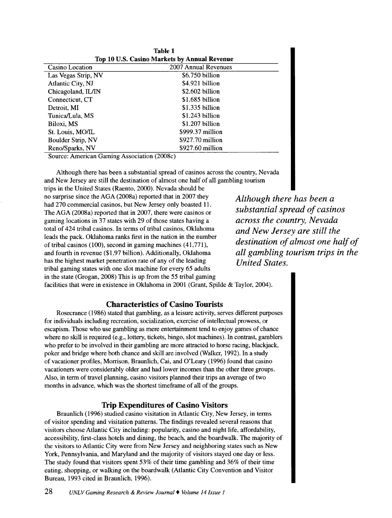| <b>Table 1</b><br>Top 10 U.S. Casino Markets by Annual Revenue |                        |  |
|----------------------------------------------------------------|------------------------|--|
| Casino Location                                                | 2007 Annual Revenues   |  |
| Las Vegas Strip, NV                                            | \$6.750 billion        |  |
| Atlantic City, NJ                                              | \$4.921 billion        |  |
| Chicagoland, IL/IN                                             | $$2.602$ billion       |  |
| Connecticut, CT                                                | $$1.685$ billion       |  |
| Detroit, MI                                                    | $$1.335$ billion       |  |
| Tunica/Lula, MS                                                | $$1.243$ billion       |  |
| Biloxi, MS                                                     | $$1.207$ billion       |  |
| St. Louis, MO/IL                                               | $$999.37$ million      |  |
| Boulder Strip, NV                                              | \$927.70 million       |  |
| Reno/Sparks, NV                                                | $$927.60$ million<br>. |  |

Source: American Gaming Association (2008c)

Although there has been a substantial spread of casinos across the country, Nevada and New Jersey are still the destination of almost one half of all gambling tourism

trips in the United States (Raento, 2000). Nevada should be no surprise since the AGA (2008a) reported that in 2007 they had 270 commercial casinos, but New Jersey only boasted 11. The AGA (2008a) reported that in 2007, there were casinos or gaming locations in 37 states with 29 of those states having a total of 424 tribal casinos. In terms of tribal casinos, Oklahoma leads the pack. Oklahoma ranks first in the nation in the number of tribal casinos (100), second in gaming machines (41,771), and fourth in revenue (\$1.97 billion). Additionally, Oklahoma has the highest market penetration rate of any of the leading tribal gaming states with one slot machine for every 65 adults in the state (Grogan, 2008) This is up from the 55 tribal gaming

*Although there has been a substantial spread of casinos across the country, Nevada and New Jersey are still the destination of almost one half of all gambling tourism trips in the United States.* 

facilities that were in existence in Oklahoma in 2001 (Grant, Spilde & Taylor, 2004).

### **Characteristics of Casino Tourists**

Rosecrance (1986) stated that gambling, as a leisure activity, serves different purposes for individuals including recreation, socialization, exercise of intellectual prowess, or escapism. Those who use gambling as mere entertainment tend to enjoy games of chance where no skill is required (e.g., lottery, tickets, bingo, slot machines). In contrast, gamblers who prefer to be involved in their gambling are more attracted to horse racing, blackjack, poker and bridge where both chance and skill are involved (Walker, 1992). In a study of vacationer profiles, Morrison, Braunlich, Cai, and O'Leary (1996) found that casino vacationers were considerably older and had lower incomes than the other three groups. Also, in term of travel planning, casino visitors planned their trips an average of two months in advance, which was the shortest timeframe of all of the groups.

## **Trip Expenditures of Casino Visitors**

Braunlich (1996) studied casino visitation in Atlantic City, New Jersey, in terms of visitor spending and visitation patterns. The findings revealed several reasons that visitors choose Atlantic City including: popularity, casino and night life, affordability, accessibility, first-class hotels and dining, the beach, and the boardwalk. The majority of the visitors to Atlantic City were from New Jersey and neighboring states such as New York, Pennsylvania, and Maryland and the majority of visitors stayed one day or less. The study found that visitors spent 53% of their time gambling and 36% of their time eating, shopping, or walking on the boardwalk (Atlantic City Convention and Visitor Bureau, 1993 cited in Braunlich, 1996).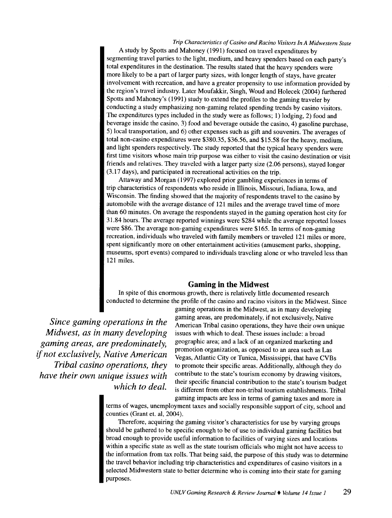A study by Spotts and Mahoney (1991) focused on travel expenditures by segmenting travel parties to the light, medium, and heavy spenders based on each party's total expenditures in the destination. The results stated that the heavy spenders were more likely to be a part of larger party sizes, with longer length of stays, have greater involvement with recreation, and have a greater propensity to use information provided by the region's travel industry. Later Moufakkir, Singh, Woud and Holecek (2004) furthered Spotts and Mahoney's (1991) study to extend the profiles to the gaming traveler by conducting a study emphasizing non-gaming related spending trends by casino visitors. The expenditures types included in the study were as follows; 1) lodging, 2) food and beverage inside the casino, 3) food and beverage outside the casino, 4) gasoline purchase, 5) local transportation, and 6) other expenses such as gift and souvenirs. The averages of total non-casino expenditures were \$380.35, \$36.56, and \$15.58 for the heavy, medium, and light spenders respectively. The study reported that the typical heavy spenders were first time visitors whose main trip purpose was either to visit the casino destination or visit friends and relatives. They traveled with a larger party size (2.06 persons), stayed longer (3.17 days), and participated in recreational activities on the trip.

Attaway and Morgan ( 1997) explored prior gambling experiences in terms of trip characteristics of respondents who reside in Illinois, Missouri, Indiana, Iowa, and Wisconsin. The finding showed that the majority of respondents travel to the casino by automobile with the average distance of 121 miles and the average travel time of more than 60 minutes. On average the respondents stayed in the gaming operation host city for 31.84 hours. The average reported winnings were \$284 while the average reported losses were \$86. The average non-gaming expenditures were \$165. In terms of non-gaming recreation, individuals who traveled with family members or traveled 121 miles or more, spent significantly more on other entertainment activities (amusement parks, shopping, museums, sport events) compared to individuals traveling alone or who traveled less than 121 miles.

### **Gaming in the Midwest**

In spite of this enormous growth, there is relatively little documented research conducted to determine the profile of the casino and racino visitors in the Midwest. Since

*Since gaming operations in the Midwest, as in many developing gaming areas, are predominately,*  if *not exclusively, Native American Tribal casino operations, they have their own unique issues with which to deal.* 

gaming operations in the Midwest, as in many developing gaming areas, are predominately, if not exclusively, Native American Tribal casino operations, they have their own unique issues with which to deal. These issues include: a broad geographic area; and a lack of an organized marketing and promotion organization, as opposed to an area such as Las Vegas, Atlantic City or Tunica, Mississippi, that have CVBs to promote their specific areas. Additionally, although they do contribute to the state's tourism economy by drawing visitors, their specific financial contribution to the state's tourism budget is different from other non-tribal tourism establishments. Tribal gaming impacts are less in terms of gaming taxes and more in

terms of wages, unemployment taxes and socially responsible support of city, school and counties (Grant et. al, 2004).

Therefore, acquiring the gaming visitor's characteristics for use by varying groups should be gathered to be specific enough to be of use to individual gaming facilities but broad enough to provide useful information to facilities of varying sizes and locations within a specific state as well as the state tourism officials who might not have access to the information from tax rolls. That being said, the purpose of this study was to determine the travel behavior including trip characteristics and expenditures of casino visitors in a selected Midwestern state to better determine who is coming into their state for gaming purposes.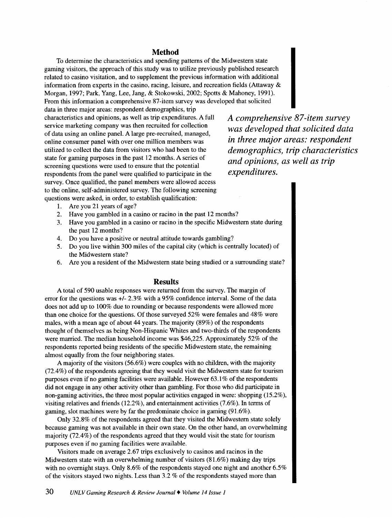## **Method**

To determine the characteristics and spending patterns of the Midwestern state gaming visitors, the approach of this study was to utilize previously published research related to casino visitation, and to supplement the previous information with additional information from experts in the casino, racing, leisure, and recreation fields (Attaway & Morgan, 1997; Park, Yang, Lee, Jang, & Stokowski, 2002; Spotts & Mahoney, 1991). From this information a comprehensive 87-item survey was developed that solicited

data in three major areas: respondent demographics, trip characteristics and opinions, as well as trip expenditures. A full service marketing company was then recruited for collection of data using an online panel. A large pre-recruited, managed, online consumer panel with over one million members was utilized to collect the data from visitors who had been to the state for gaming purposes in the past 12 months. A series of screening questions were used to ensure that the potential respondents from the panel were qualified to participate in the survey. Once qualified, the panel members were allowed access to the online, self-administered survey. The following screening questions were asked, in order, to establish qualification:

*A comprehensive 87-item survey was developed that solicited data in three major areas: respondent demographics, trip characteristics and opinions, as well as trip expenditures.* 

- 1. Are you 21 years of age?
- 2. Have you gambled in a casino or racino in the past 12 months?
- 3. Have you gambled in a casino or racino in the specific Midwestern state during the past 12 months?
- 4. Do you have a positive or neutral attitude towards gambling?
- 5. Do you live within 300 miles of the capital city (which is centrally located) of the Midwestern state?
- 6. Are you a resident of the Midwestern state being studied or a surrounding state?

#### **Results**

A total of 590 usable responses were returned from the survey. The margin of error for the questions was *+1-* 2.3% with a 95% confidence interval. Some of the data does not add up to 100% due to rounding or because respondents were allowed more than one choice for the questions. Of those surveyed 52% were females and 48% were males, with a mean age of about 44 years. The majority (89%) of the respondents thought of themselves as being Non-Hispanic Whites and two-thirds of the respondents were married. The median household income was \$46,225. Approximately 52% of the respondents reported being residents of the specific Midwestern state, the remaining almost equally from the four neighboring states.

A majority of the visitors (56.6%) were couples with no children, with the majority (72.4%) of the respondents agreeing that they would visit the Midwestern state for tourism purposes even if no gaming facilities were available. However 63.1% of the respondents did not engage in any other activity other than gambling. For those who did participate in non-gaming activities, the three most popular activities engaged in were: shopping (15.2%), visiting relatives and friends (12.2% ), and entertainment activities (7.6% ). In terms of gaming, slot machines were by far the predominate choice in gaming (91.6% ).

Only 32.8% of the respondents agreed that they visited the Midwestern state solely because gaming was not available in their own state. On the other hand, an overwhelming majority (72.4%) of the respondents agreed that they would visit the state for tourism purposes even if no gaming facilities were available.

Visitors made on average 2.67 trips exclusively to casinos and racinos in the Midwestern state with an overwhelming number of visitors (81.6%) making day trips with no overnight stays. Only 8.6% of the respondents stayed one night and another 6.5% of the visitors stayed two nights. Less than 3.2% of the respondents stayed more than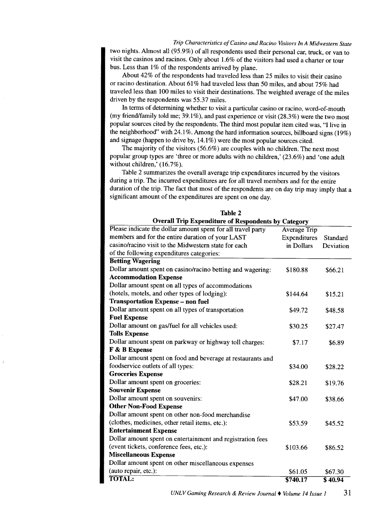two nights. Almost all (95.9%) of all respondents used their personal car, truck, or van to visit the casinos and racinos. Only about 1.6% of the visitors had used a charter or tour bus. Less than 1% of the respondents arrived by plane.

About 42% of the respondents had traveled less than 25 miles to visit their casino or racino destination. About 61% had traveled less than 50 miles, and about 75% had traveled less than 100 miles to visit their destinations. The weighted average of the miles driven by the respondents was 55.37 miles.

In terms of determining whether to visit a particular casino or racino, word-of-mouth (my friend/family told me;  $39.1\%$ ), and past experience or visit (28.3%) were the two most popular sources cited by the respondents. The third most popular item cited was, "I live in the neighborhood" with  $24.1\%$ . Among the hard information sources, billboard signs (19%) and signage (happen to drive by, 14.1%) were the most popular sources cited.

The majority of the visitors (56.6%) are couples with no children. The next most popular group types are 'three or more adults with no children,' (23.6%) and 'one adult without children,' (16.7%).

Table 2 summarizes the overall average trip expenditures incurred by the visitors during a trip. The incurred expenditures are for all travel members and for the entire duration of the trip. The fact that most of the respondents are on day trip may imply that a significant amount of the expenditures are spent on one day.

**TRELL** 2

| <b>Overall Trip Expenditure of Respondents by Category</b>   |                     |           |  |
|--------------------------------------------------------------|---------------------|-----------|--|
| Please indicate the dollar amount spent for all travel party | <b>Average Trip</b> |           |  |
| members and for the entire duration of your LAST             | Expenditures        | Standard  |  |
| casino/racino visit to the Midwestern state for each         | in Dollars          | Deviation |  |
| of the following expenditures categories:                    |                     |           |  |
| <b>Betting Wagering</b>                                      |                     |           |  |
| Dollar amount spent on casino/racino betting and wagering:   | \$180.88            | \$66.21   |  |
| <b>Accommodation Expense</b>                                 |                     |           |  |
| Dollar amount spent on all types of accommodations           |                     |           |  |
| (hotels, motels, and other types of lodging):                | \$144.64            | \$15.21   |  |
| <b>Transportation Expense - non fuel</b>                     |                     |           |  |
| Dollar amount spent on all types of transportation           | \$49.72             | \$48.58   |  |
| <b>Fuel Expense</b>                                          |                     |           |  |
| Dollar amount on gas/fuel for all vehicles used:             | \$30.25             | \$27.47   |  |
| <b>Tolls Expense</b>                                         |                     |           |  |
| Dollar amount spent on parkway or highway toll charges:      | \$7.17              | \$6.89    |  |
| F & B Expense                                                |                     |           |  |
| Dollar amount spent on food and beverage at restaurants and  |                     |           |  |
| foodservice outlets of all types:                            | \$34.00             | \$28.22   |  |
| <b>Groceries Expense</b>                                     |                     |           |  |
| Dollar amount spent on groceries:                            | \$28.21             | \$19.76   |  |
| <b>Souvenir Expense</b>                                      |                     |           |  |
| Dollar amount spent on souvenirs:                            | \$47.00             | \$38.66   |  |
| <b>Other Non-Food Expense</b>                                |                     |           |  |
| Dollar amount spent on other non-food merchandise            |                     |           |  |
| (clothes, medicines, other retail items, etc.):              | \$53.59             | \$45.52   |  |
| <b>Entertainment Expense</b>                                 |                     |           |  |
| Dollar amount spent on entertainment and registration fees   |                     |           |  |
| (event tickets, conference fees, etc.):                      | \$103.66            | \$86.52   |  |
| <b>Miscellaneous Expense</b>                                 |                     |           |  |
| Dollar amount spent on other miscellaneous expenses          |                     |           |  |
| (auto repair, etc.):                                         | \$61.05             | \$67.30   |  |
| <b>TOTAL:</b>                                                | \$740.17            | \$40.94   |  |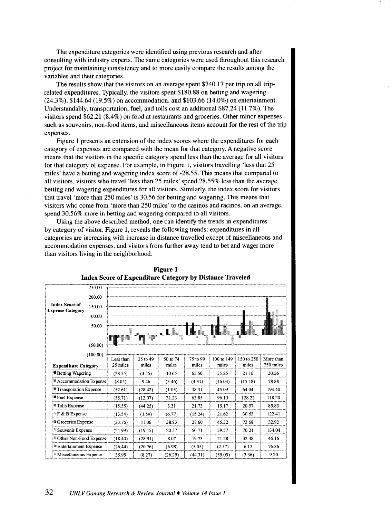The expenditure categories were identified using previous research and after consulting with industry experts. The same categories were used throughout this research project for maintaining consistency and to more easily compare the results among the variables and their categories.

The results show that the visitors on an average spent \$740.17 per trip on all triprelated expenditures. Typically, the visitors spent \$180.88 on betting and wagering (24.3%), \$144.64 (19.5%) on accommodation, and \$103.66 (14.0%) on entertainment. Understandably, transportation, fuel, and tolls cost an additional \$87.24 (11.7%). The visitors spend \$62.21 (8.4%) on food at restaurants and groceries. Other minor expenses such as souvenirs, non-food items, and miscellaneous items account for the rest of the trip expenses.

Figure 1 presents an extension of the index scores where the expenditures for each category of expenses are compared with the mean for that category. A negative score means that the visitors in the specific category spend less than the average for all visitors for that category of expense. For example, in Figure 1, visitors travelling 'less that 25 miles' have a betting and wagering index score of -28.55. This means that compared to all visitors, visitors who travel 'less than 25 miles' spend 28.55% less than the average betting and wagering expenditures for all visitors. Similarly, the index score for visitors that travel 'more than 250 miles' is 30.56 for betting and wagering. This means that visitors who come from 'more than 250 miles' to the casinos and racinos, on an average, spend 30.56% more in betting and wagering compared to all visitors.

Using the above described method, one can identify the trends in expenditures by category of visitor. Figure 1, reveals the following trends: expenditures in all categories are increasing with increase in distance travelled except of miscellaneous and accommodation expenses, and visitors from further away tend to bet and wager more than visitors living in the neighborhood.



**Figure 1 Index Score of Expenditure Category by Distance Traveled**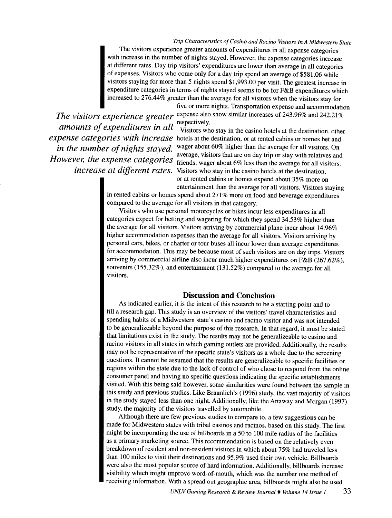*Trip Characteristics of Casino and Racino Visitors In A Midwestern State*  The visitors experience greater amounts of expenditures in all expense categories with increase in the number of nights stayed. However, the expense categories increase at different rates. Day trip visitors' expenditures are lower than average in all categories of expenses. Visitors who come only for a day trip spend an average of \$581.06 while visitors staying for more than 5 nights spend \$1,993.00 per visit. The greatest increase in expenditure categories in terms of nights stayed seems to be for F&B expenditures which increased to 276.44% greater than the average for all visitors when the visitors stay for

 $a$  amounts of expenditures in all visitors when

five or more nights. Transportation expense and accommodation *The visitors experience greater* expense also show similar increases of 243.96% and 242.21%

Visitors who stay in the casino hotels at the destination, other *expense categories with increase* hotels at the destination, or at rented cabins or homes bet and *in the number of nights stayed.* Wager about 60% higher than the average for all visitors. On average, visitors that are on day trip or stay with relatives and However, the expense categories diverged, visitors and  $m \sim 1$ ,  $m \sim 1$ ,  $m \sim 1$  and  $m \sim 1$  and  $m \sim 1$ . *increase at different rates.* Visitors who stay in the casino hotels at the destination, or at rented cabins or homes expend about 35% more on

entertainment than the average for all visitors. Visitors staying in rented cabins or homes spend about 271% more on food and beverage expenditures compared to the average for all visitors in that category.

Visitors who use personal motorcycles or bikes incur less expenditures in all categories expect for betting and wagering for which they spend 34.53% higher than the average for all visitors. Visitors arriving by commercial plane incur about 14.96% higher accommodation expenses than the average for all visitors. Visitors arriving by personal cars, bikes, or charter or tour buses all incur lower than average expenditures for accommodation. This may be because most of such visitors are on day trips. Visitors arriving by commercial airline also incur much higher expenditures on F&B (267.62% ), souvenirs (155.32%), and entertainment (131.52%) compared to the average for all visitors.

#### **Discussion and Conclusion**

As indicated earlier, it is the intent of this research to be a starting point and to fill a research gap. This study is an overview of the visitors' travel characteristics and spending habits of a Midwestern state's casino and racino visitor and was not intended to be generalizeable beyond the purpose of this research. In that regard, it must be stated that limitations exist in the study. The results may not be generalizeable to casino and racino visitors in all states in which gaming outlets are provided. Additionally, the results may not be representative of the specific state's visitors as a whole due to the screening questions. It cannot be assumed that the results are generalizeable to specific facilities or regions within the state due to the lack of control of who chose to respond from the online consumer panel and having no specific questions indicating the specific establishments visited. With this being said however, some similarities were found between the sample in this study and previous studies. Like Braunlich's (1996) study, the vast majority of visitors in the study stayed less than one night. Additionally, like the Attaway and Morgan ( 1997) study, the majority of the visitors travelled by automobile.

Although there are few previous studies to compare to, a few suggestions can be made for Midwestern states with tribal casinos and racinos, based on this study. The first might be incorporating the use of billboards in a 50 to 100 mile radius of the facilities as a primary marketing source. This recommendation is based on the relatively even breakdown of resident and non-resident visitors in which about 75% had traveled less than 100 miles to visit their destinations and 95.9% used their own vehicle. Billboards were also the most popular source of hard information. Additionally, billboards increase visibility which might improve word-of-mouth, which was the number one method of receiving information. With a spread out geographic area, billboards might also be used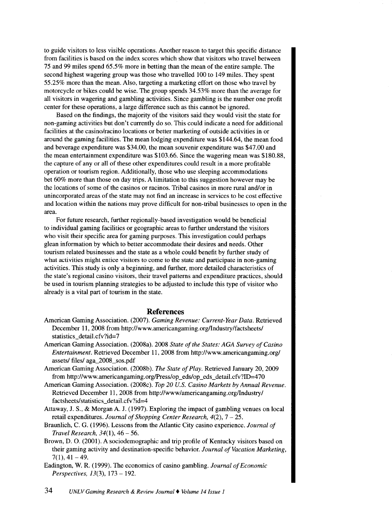to guide visitors to less visible operations. Another reason to target this specific distance from facilities is based on the index scores which show that visitors who travel between 75 and 99 miles spend 65.5% more in betting than the mean of the entire sample. The second highest wagering group was those who travelled 100 to 149 miles. They spent 55.25% more than the mean. Also, targeting a marketing effort on those who travel by motorcycle or bikes could be wise. The group spends 34.53% more than the average for all visitors in wagering and gambling activities. Since gambling is the number one profit center for these operations, a large difference such as this cannot be ignored.

Based on the findings, the majority of the visitors said they would visit the state for non-gaming activities but don't currently do so. This could indicate a need for additional facilities at the casino/racino locations or better marketing of outside activities in or around the gaming facilities. The mean lodging expenditure was \$144.64, the mean food and beverage expenditure was \$34.00, the mean souvenir expenditure was \$47.00 and the mean entertainment expenditure was \$103.66. Since the wagering mean was \$180.88, the capture of any or all of these other expenditures could result in a more profitable operation or tourism region. Additionally, those who use sleeping accommodations bet 60% more than those on day trips. A limitation to this suggestion however may be the locations of some of the casinos or racinos. Tribal casinos in more rural and/or in unincorporated areas of the state may not find an increase in services to be cost effective and location within the nations may prove difficult for non-tribal businesses to open in the area.

For future research, further regionally-based investigation would be beneficial to individual gaming facilities or geographic areas to further understand the visitors who visit their specific area for gaming purposes. This investigation could perhaps glean information by which to better accommodate their desires and needs. Other tourism related businesses and the state as a whole could benefit by further study of what activities might entice visitors to come to the state and participate in non-gaming activities. This study is only a beginning, and further, more detailed characteristics of the state's regional casino visitors, their travel patterns and expenditure practices, should be used in tourism planning strategies to be adjusted to include this type of visitor who already is a vital part of tourism in the state.

#### **References**

- American Gaming Association. (2007). *Gaming Revenue: Current- Year Data.* Retrieved December 11, 2008 from http://www.americangaming.org/lndustry/factsheets/ statistics\_detail.cfv?id=7
- American Gaming Association. (2008a). 2008 *State of the States: AGA Survey of Casino Entertainment.* Retrieved December 11, 2008 from http://www.americangaming.org/ assets/ files/ aga\_2008\_sos.pdf
- American Gaming Association. (2008b). *The State of Play.* Retrieved January 20, 2009 from http://www.americangaming.org/Press/op\_eds/op\_eds\_detail.cfv?ID=470
- American Gaming Association. (2008c). *Top 20 U.S. Casino Markets by Annual Revenue.*  Retrieved December 11, 2008 from http://www/americangaming.org/lndustry/ factsheets/statistics\_detail.cfv?id=4
- Attaway, J. S., & Morgan A. J. (1997). Exploring the impact of gambling venues on local retail expenditures. *Journal of Shopping Center Research, 4(2),* 7- 25.
- Braunlich, C. G. (1996). Lessons from the Atlantic City casino experience. *Journal of Travel Research, 34(1),* 46-56.
- Brown, D. 0. (2001). A sociodemographic and trip profile of Kentucky visitors based on their gaming activity and destination-specific behavior. *Journal of Vacation Marketing,*   $7(1), 41-49.$
- Eadington, W. R. ( 1999). The economics of casino gambling. *Journal of Economic Perspectives,* 13(3), 173- 192.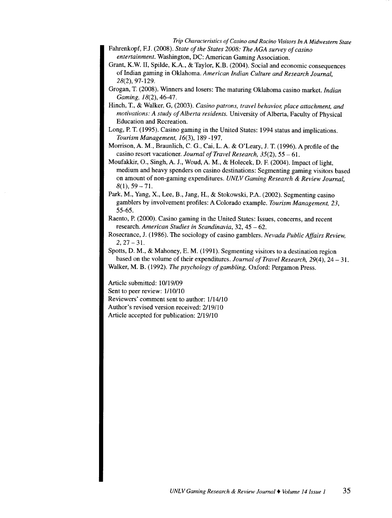- Fahrenkopf, F.J. (2008). *State of the States 2008: The AGA survey of casino entertainment.* Washington, DC: American Gaming Association.
- Grant, K.W. II, Spilde, K.A., & Taylor, K.B. (2004). Social and economic consequences of Indian gaming in Oklahoma. *American Indian Culture and Research Journal,*  28(2), 97-129.
- Grogan, T. (2008). Winners and losers: The maturing Oklahoma casino market. *Indian Gaming, I8(2),* 46-47.
- Hinch, T., & Walker, G, (2003). *Casino patrons, travel behavior, place attachment, and motivations: A study of Alberta residents.* University of Alberta, Faculty of Physical Education and Recreation.
- Long, P. T. (1995). Casino gaming in the United States: 1994 status and implications. *Tourism Management, I* 6(3 ), 189 -197.
- Morrison, A. M., Braunlich, C. G., Cai, L.A. & O'Leary, J. T. (1996). A profile of the casino resort vacationer. *Journal of Travel Research,* 35(2), 55-61.
- Moufakkir, 0., Singh, A. J., Woud, A.M., & Holecek, D. F. (2004). Impact of light, medium and heavy spenders on casino destinations: Segmenting gaming visitors based on amount of non-gaming expenditures. *UNLV Gaming Research* & *Review Journal,*   $8(1), 59-71.$
- Park, M., Yang, X., Lee, B., Jang, H., & Stokowski, P.A. (2002). Segmenting casino gamblers by involvement profiles: A Colorado example. *Tourism Management, 23,*  55-65.
- Raento, P. (2000). Casino gaming in the United States: Issues, concerns, and recent research. *American Studies in Scandinavia,* 32, 45 - 62.
- Rosecrance, J. (1986). The sociology of casino gamblers. *Nevada Public Affairs Review,*   $2, 27-31.$
- Spotts, D. M., & Mahoney, E. M. (1991). Segmenting visitors to a destination region based on the volume of their expenditures. *Journal of Travel Research*, 29(4), 24 – 31. Walker, M. B. (1992). *The psychology of gambling,* Oxford: Pergamon Press.

Article submitted: 10/19/09 Sent to peer review:  $1/10/10$ Reviewers' comment sent to author: 1/14/10 Author's revised version received: 2/19/10 Article accepted for publication: 2119110